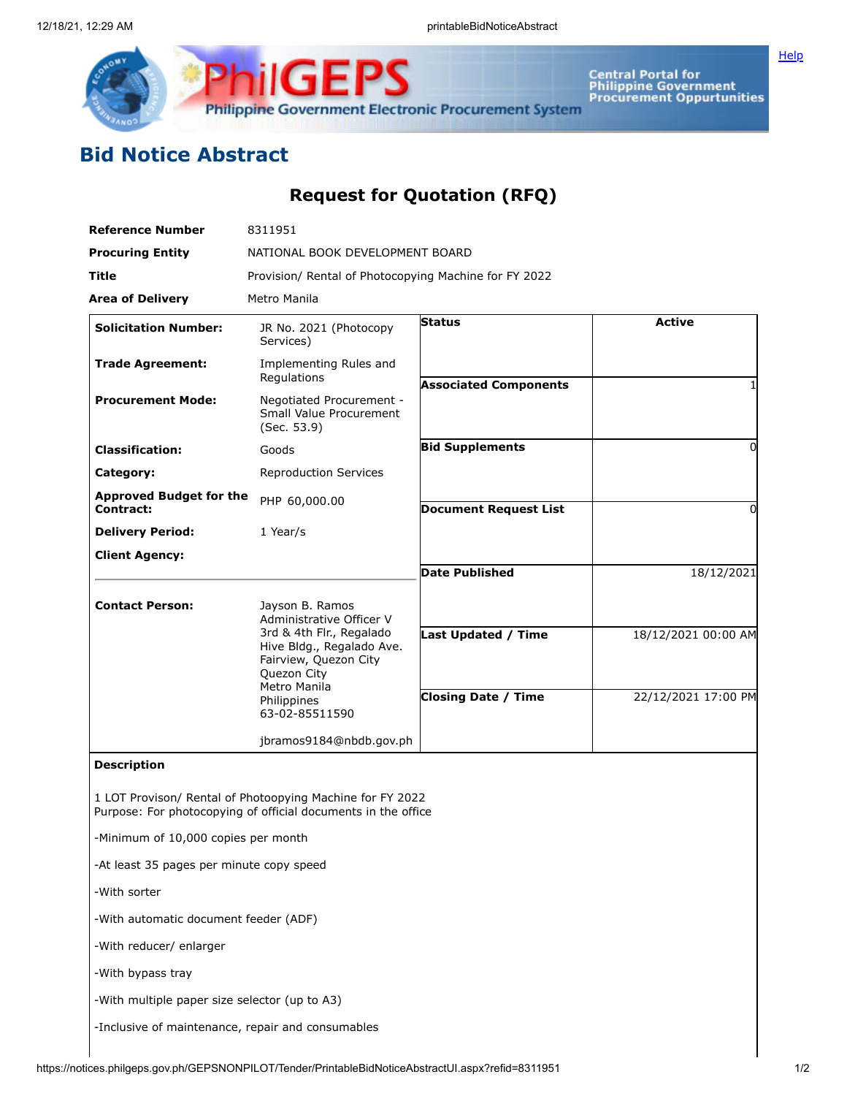

**Central Portal for<br>Philippine Government<br>Procurement Oppurtunities** 

## **Bid Notice Abstract**

## **Request for Quotation (RFQ)**

**Philippine Government Electronic Procurement System** 

**ilGEPS** 

| <b>Reference Number</b>                           | 8311951                                                                                                                                        |                              |                     |
|---------------------------------------------------|------------------------------------------------------------------------------------------------------------------------------------------------|------------------------------|---------------------|
| <b>Procuring Entity</b>                           | NATIONAL BOOK DEVELOPMENT BOARD                                                                                                                |                              |                     |
| <b>Title</b>                                      | Provision/ Rental of Photocopying Machine for FY 2022                                                                                          |                              |                     |
| <b>Area of Delivery</b>                           | Metro Manila                                                                                                                                   |                              |                     |
| <b>Solicitation Number:</b>                       | JR No. 2021 (Photocopy<br>Services)                                                                                                            | Status                       | <b>Active</b>       |
| <b>Trade Agreement:</b>                           | Implementing Rules and<br>Regulations                                                                                                          | <b>Associated Components</b> |                     |
| <b>Procurement Mode:</b>                          | Negotiated Procurement -<br>Small Value Procurement<br>(Sec. 53.9)                                                                             |                              |                     |
| <b>Classification:</b>                            | Goods                                                                                                                                          | <b>Bid Supplements</b>       | 0                   |
| Category:                                         | <b>Reproduction Services</b>                                                                                                                   |                              |                     |
| <b>Approved Budget for the</b>                    | PHP 60,000.00                                                                                                                                  |                              |                     |
| Contract:                                         | 1 Year/s                                                                                                                                       | <b>Document Request List</b> | 0                   |
| <b>Delivery Period:</b>                           |                                                                                                                                                |                              |                     |
| <b>Client Agency:</b>                             |                                                                                                                                                | <b>Date Published</b>        | 18/12/2021          |
| <b>Contact Person:</b>                            | Jayson B. Ramos<br>Administrative Officer V                                                                                                    |                              |                     |
|                                                   | 3rd & 4th Flr., Regalado<br>Hive Bldg., Regalado Ave.<br>Fairview, Quezon City<br>Quezon City<br>Metro Manila<br>Philippines<br>63-02-85511590 | <b>Last Updated / Time</b>   | 18/12/2021 00:00 AM |
|                                                   |                                                                                                                                                | <b>Closing Date / Time</b>   | 22/12/2021 17:00 PM |
|                                                   | jbramos9184@nbdb.gov.ph                                                                                                                        |                              |                     |
| <b>Description</b>                                |                                                                                                                                                |                              |                     |
|                                                   | 1 LOT Provison/ Rental of Photoopying Machine for FY 2022<br>Purpose: For photocopying of official documents in the office                     |                              |                     |
| -Minimum of 10,000 copies per month               |                                                                                                                                                |                              |                     |
| -At least 35 pages per minute copy speed          |                                                                                                                                                |                              |                     |
| -With sorter                                      |                                                                                                                                                |                              |                     |
| -With automatic document feeder (ADF)             |                                                                                                                                                |                              |                     |
| -With reducer/ enlarger                           |                                                                                                                                                |                              |                     |
| -With bypass tray                                 |                                                                                                                                                |                              |                     |
| -With multiple paper size selector (up to A3)     |                                                                                                                                                |                              |                     |
| -Inclusive of maintenance, repair and consumables |                                                                                                                                                |                              |                     |